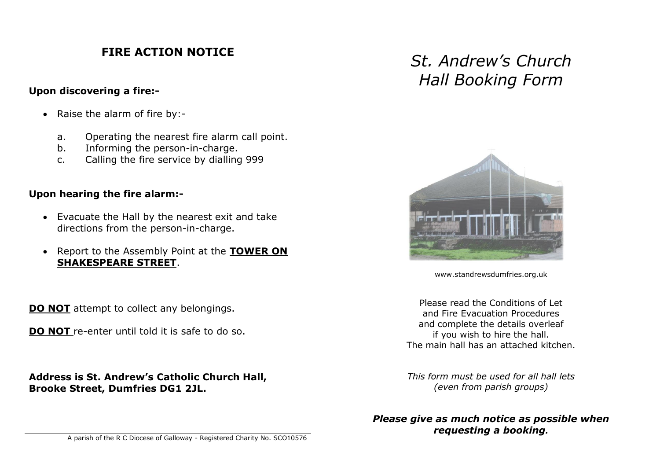## **FIRE ACTION NOTICE**

#### **Upon discovering a fire:-**

- Raise the alarm of fire by:
	- a. Operating the nearest fire alarm call point.
	- b. Informing the person-in-charge.
	- c. Calling the fire service by dialling 999

### **Upon hearing the fire alarm:-**

- Evacuate the Hall by the nearest exit and take directions from the person-in-charge.
- Report to the Assembly Point at the **TOWER ON SHAKESPEARE STREET**.

**DO NOT** attempt to collect any belongings.

**DO NOT** re-enter until told it is safe to do so.

**Address is St. Andrew's Catholic Church Hall, Brooke Street, Dumfries DG1 2JL.**

# *St. Andrew's Church Hall Booking Form*



www.standrewsdumfries.org.uk

Please read the Conditions of Let and Fire Evacuation Procedures and complete the details overleaf if you wish to hire the hall. The main hall has an attached kitchen.

*This form must be used for all hall lets (even from parish groups)*

*Please give as much notice as possible when requesting a booking.*